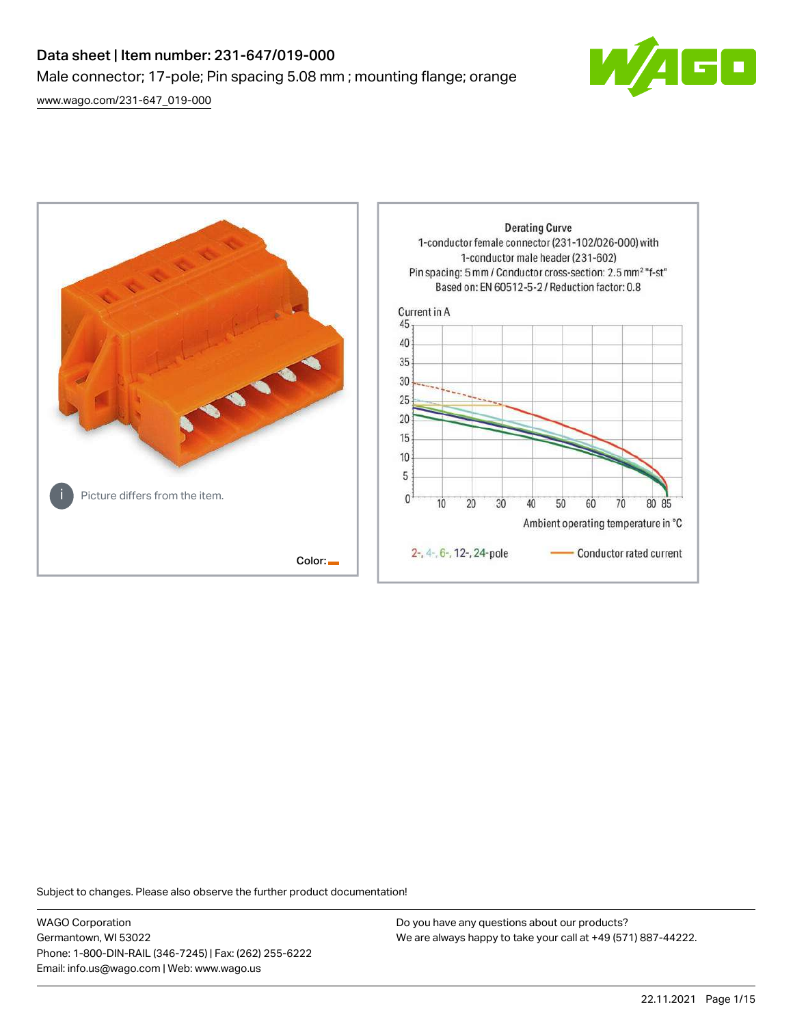# Data sheet | Item number: 231-647/019-000 Male connector; 17-pole; Pin spacing 5.08 mm ; mounting flange; orange

[www.wago.com/231-647\\_019-000](http://www.wago.com/231-647_019-000)



**Derating Curve** 1-conductor female connector (231-102/026-000) with 1-conductor male header (231-602) Pin spacing: 5 mm / Conductor cross-section: 2.5 mm<sup>2</sup> "f-st" Based on: EN 60512-5-2 / Reduction factor: 0.8 Current in A 45 40 35 30 25 20 15 10 5 Picture differs from the item.  $\mathbf{0}$  $10$ 20 30 40 50 60 70 80 85 Ambient operating temperature in °C 2-, 4-, 6-, 12-, 24-pole Conductor rated current Color:

Subject to changes. Please also observe the further product documentation!

WAGO Corporation Germantown, WI 53022 Phone: 1-800-DIN-RAIL (346-7245) | Fax: (262) 255-6222 Email: info.us@wago.com | Web: www.wago.us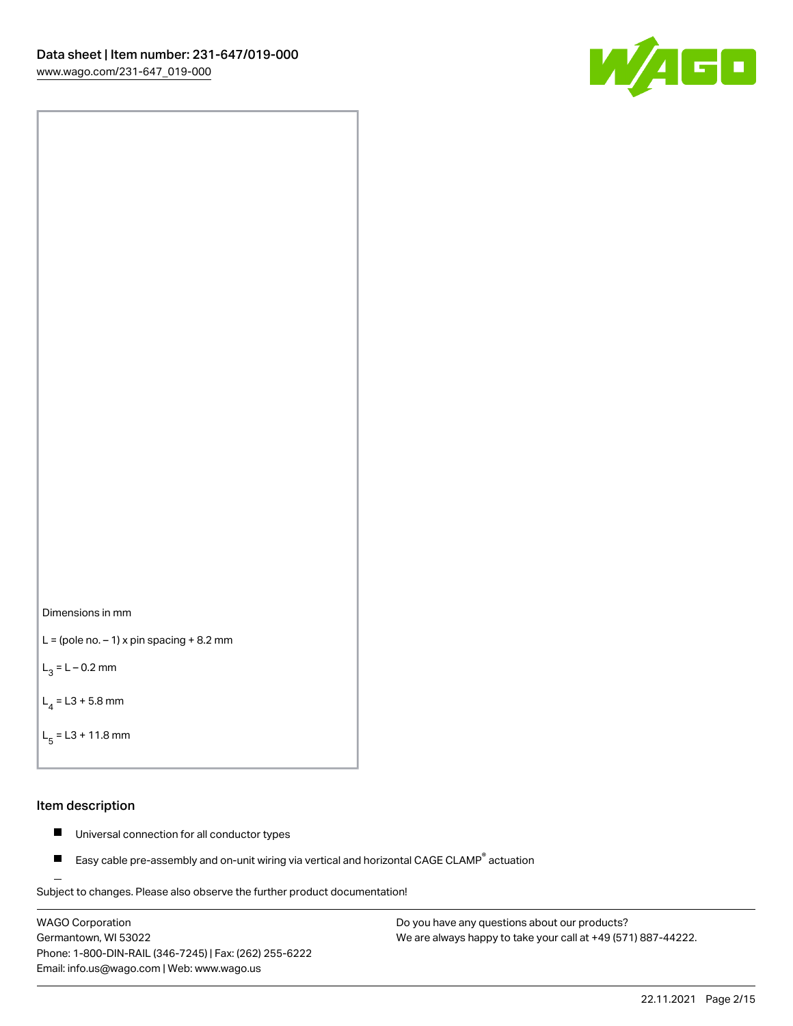



```
L = (pole no. -1) x pin spacing +8.2 mm
```
 $L_3 = L - 0.2$  mm

```
L_4 = L3 + 5.8 mm
```

```
L_{\rm g} = L3 + 11.8 mm
```
### Item description

- $\blacksquare$ Universal connection for all conductor types
- Easy cable pre-assembly and on-unit wiring via vertical and horizontal CAGE CLAMP<sup>®</sup> actuation  $\blacksquare$

Subject to changes. Please also observe the further product documentation! For wire-to-wire and board-to-wire connections

WAGO Corporation Germantown, WI 53022 Phone: 1-800-DIN-RAIL (346-7245) | Fax: (262) 255-6222 Email: info.us@wago.com | Web: www.wago.us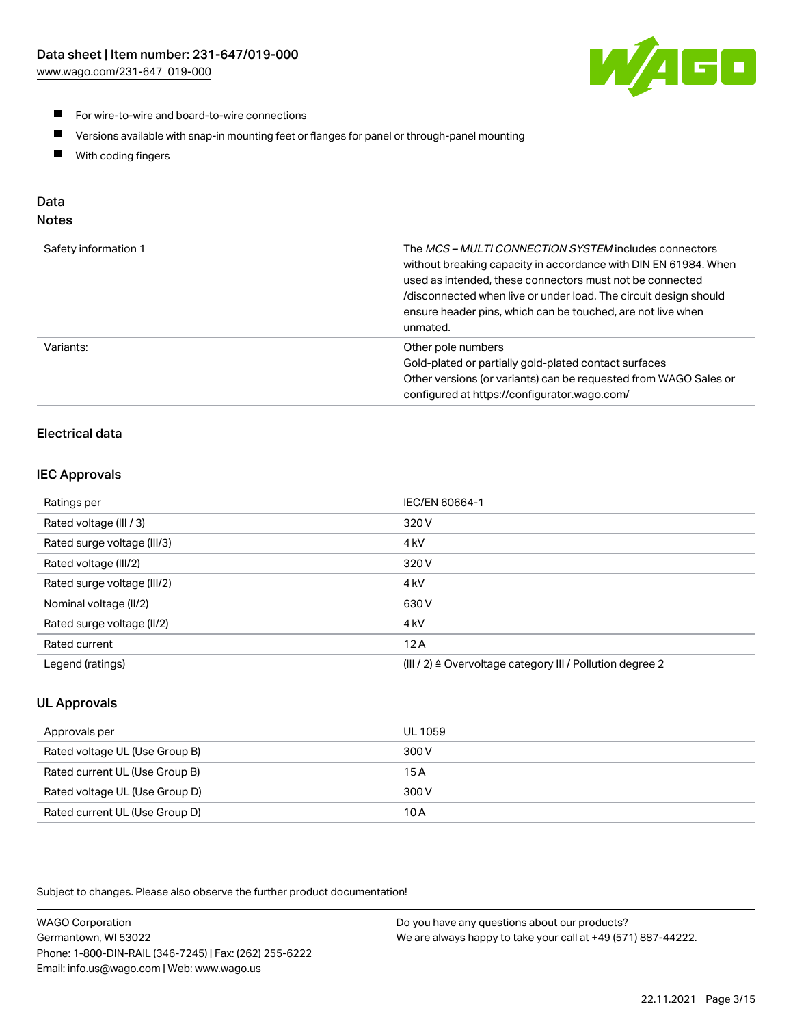

- For wire-to-wire and board-to-wire connections
- $\blacksquare$ Versions available with snap-in mounting feet or flanges for panel or through-panel mounting
- $\blacksquare$ With coding fingers

# Data

## Notes

| Safety information 1 | The MCS-MULTI CONNECTION SYSTEM includes connectors<br>without breaking capacity in accordance with DIN EN 61984. When<br>used as intended, these connectors must not be connected<br>/disconnected when live or under load. The circuit design should<br>ensure header pins, which can be touched, are not live when<br>unmated. |
|----------------------|-----------------------------------------------------------------------------------------------------------------------------------------------------------------------------------------------------------------------------------------------------------------------------------------------------------------------------------|
| Variants:            | Other pole numbers<br>Gold-plated or partially gold-plated contact surfaces<br>Other versions (or variants) can be requested from WAGO Sales or<br>configured at https://configurator.wago.com/                                                                                                                                   |

# Electrical data

## IEC Approvals

| Ratings per                 | IEC/EN 60664-1                                                        |
|-----------------------------|-----------------------------------------------------------------------|
| Rated voltage (III / 3)     | 320 V                                                                 |
| Rated surge voltage (III/3) | 4 <sub>k</sub> V                                                      |
| Rated voltage (III/2)       | 320 V                                                                 |
| Rated surge voltage (III/2) | 4 <sub>k</sub> V                                                      |
| Nominal voltage (II/2)      | 630 V                                                                 |
| Rated surge voltage (II/2)  | 4 <sub>k</sub> V                                                      |
| Rated current               | 12A                                                                   |
| Legend (ratings)            | $(III / 2)$ $\triangle$ Overvoltage category III / Pollution degree 2 |

# UL Approvals

| Approvals per                  | UL 1059 |
|--------------------------------|---------|
| Rated voltage UL (Use Group B) | 300 V   |
| Rated current UL (Use Group B) | 15 A    |
| Rated voltage UL (Use Group D) | 300 V   |
| Rated current UL (Use Group D) | 10 A    |

Subject to changes. Please also observe the further product documentation!

| <b>WAGO Corporation</b>                                | Do you have any questions about our products?                 |
|--------------------------------------------------------|---------------------------------------------------------------|
| Germantown, WI 53022                                   | We are always happy to take your call at +49 (571) 887-44222. |
| Phone: 1-800-DIN-RAIL (346-7245)   Fax: (262) 255-6222 |                                                               |
| Email: info.us@wago.com   Web: www.wago.us             |                                                               |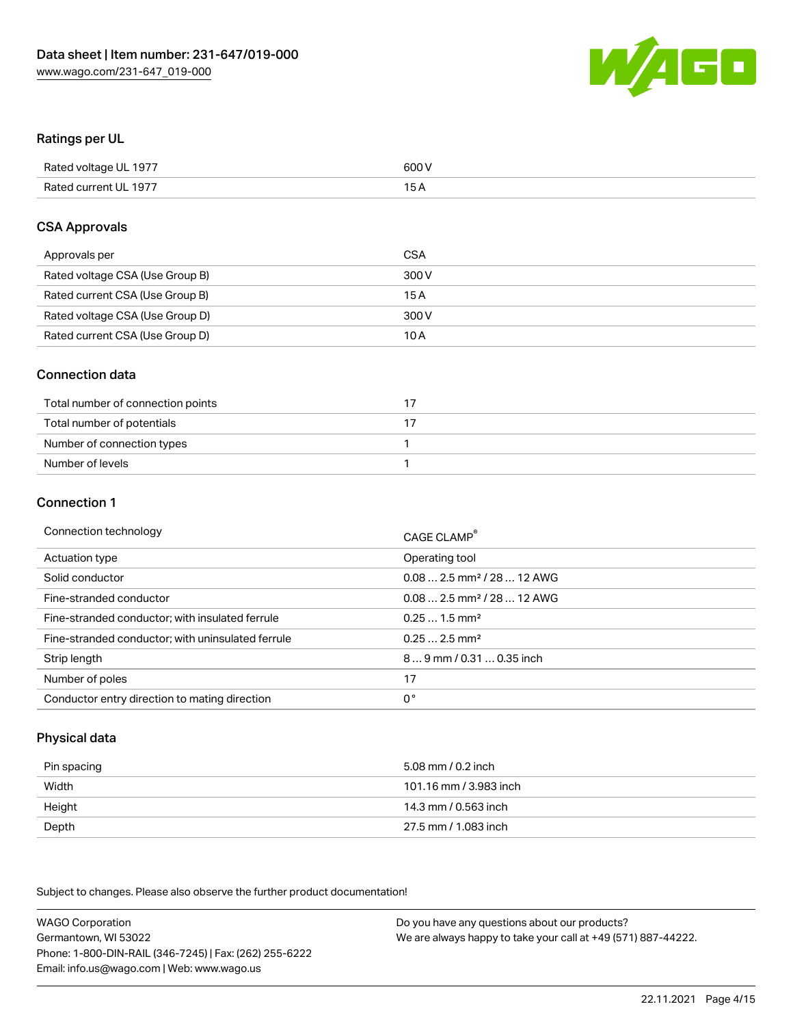

### Ratings per UL

| Rated voltage UL 1977 | 600 V |
|-----------------------|-------|
| Rated current UL 1977 | 1 E   |

#### CSA Approvals

| Approvals per                   | CSA   |
|---------------------------------|-------|
| Rated voltage CSA (Use Group B) | 300 V |
| Rated current CSA (Use Group B) | 15 A  |
| Rated voltage CSA (Use Group D) | 300 V |
| Rated current CSA (Use Group D) | 10 A  |

### Connection data

| Total number of connection points |  |
|-----------------------------------|--|
| Total number of potentials        |  |
| Number of connection types        |  |
| Number of levels                  |  |

#### Connection 1

| Connection technology                             | CAGE CLAMP <sup>®</sup>                 |
|---------------------------------------------------|-----------------------------------------|
| Actuation type                                    | Operating tool                          |
| Solid conductor                                   | $0.082.5$ mm <sup>2</sup> / 28  12 AWG  |
| Fine-stranded conductor                           | $0.08$ 2.5 mm <sup>2</sup> / 28  12 AWG |
| Fine-stranded conductor; with insulated ferrule   | $0.251.5$ mm <sup>2</sup>               |
| Fine-stranded conductor; with uninsulated ferrule | $0.252.5$ mm <sup>2</sup>               |
| Strip length                                      | 89 mm / 0.31  0.35 inch                 |
| Number of poles                                   | 17                                      |
| Conductor entry direction to mating direction     | 0°                                      |

## Physical data

| Pin spacing | 5.08 mm / 0.2 inch     |
|-------------|------------------------|
| Width       | 101.16 mm / 3.983 inch |
| Height      | 14.3 mm / 0.563 inch   |
| Depth       | 27.5 mm / 1.083 inch   |

Subject to changes. Please also observe the further product documentation!

WAGO Corporation Germantown, WI 53022 Phone: 1-800-DIN-RAIL (346-7245) | Fax: (262) 255-6222 Email: info.us@wago.com | Web: www.wago.us Do you have any questions about our products? We are always happy to take your call at +49 (571) 887-44222.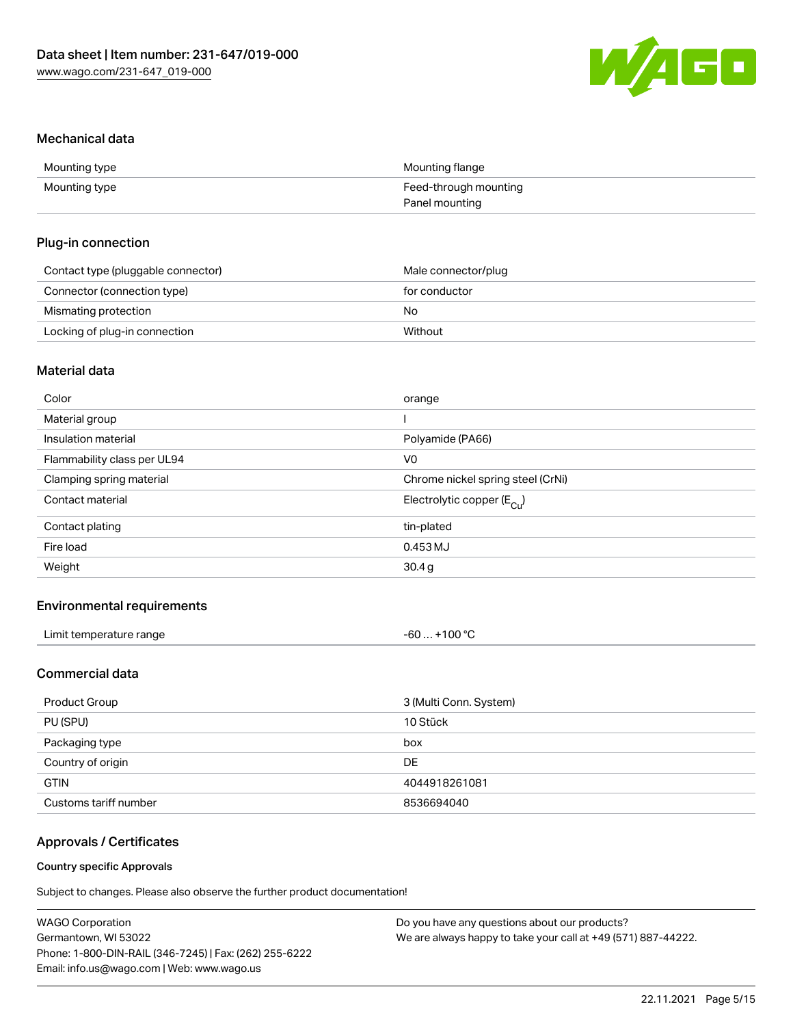

#### Mechanical data

| Mounting type | Mounting flange       |
|---------------|-----------------------|
| Mounting type | Feed-through mounting |
|               | Panel mounting        |

### Plug-in connection

| Contact type (pluggable connector) | Male connector/plug |
|------------------------------------|---------------------|
| Connector (connection type)        | for conductor       |
| Mismating protection               | No                  |
| Locking of plug-in connection      | Without             |

# Material data

| Color                       | orange                                |
|-----------------------------|---------------------------------------|
| Material group              |                                       |
| Insulation material         | Polyamide (PA66)                      |
| Flammability class per UL94 | V0                                    |
| Clamping spring material    | Chrome nickel spring steel (CrNi)     |
| Contact material            | Electrolytic copper $(E_{\text{Cl}})$ |
| Contact plating             | tin-plated                            |
| Fire load                   | 0.453 MJ                              |
| Weight                      | 30.4 <sub>g</sub>                     |
|                             |                                       |

## Environmental requirements

| Limit temperature range | $-60+100 °C$ |
|-------------------------|--------------|
|-------------------------|--------------|

## Commercial data

| Product Group         | 3 (Multi Conn. System) |
|-----------------------|------------------------|
| PU (SPU)              | 10 Stück               |
| Packaging type        | box                    |
| Country of origin     | DE.                    |
| <b>GTIN</b>           | 4044918261081          |
| Customs tariff number | 8536694040             |

# Approvals / Certificates

#### Country specific Approvals

Subject to changes. Please also observe the further product documentation!

| <b>WAGO Corporation</b>                                | Do you have any questions about our products?                 |
|--------------------------------------------------------|---------------------------------------------------------------|
| Germantown, WI 53022                                   | We are always happy to take your call at +49 (571) 887-44222. |
| Phone: 1-800-DIN-RAIL (346-7245)   Fax: (262) 255-6222 |                                                               |
| Email: info.us@wago.com   Web: www.wago.us             |                                                               |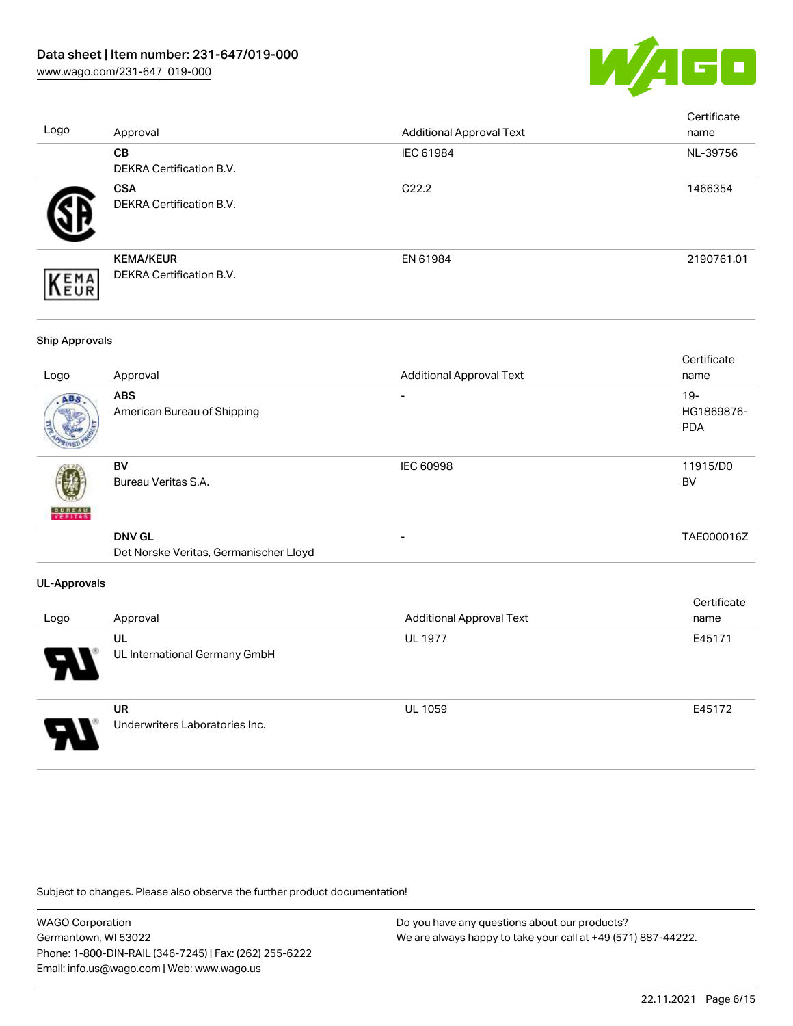

| Logo                  | Approval                                                | <b>Additional Approval Text</b> | Certificate<br>name                |
|-----------------------|---------------------------------------------------------|---------------------------------|------------------------------------|
|                       | CB<br>DEKRA Certification B.V.                          | IEC 61984                       | NL-39756                           |
|                       | <b>CSA</b><br>DEKRA Certification B.V.                  | C22.2                           | 1466354                            |
| EMA<br>EUR            | <b>KEMA/KEUR</b><br>DEKRA Certification B.V.            | EN 61984                        | 2190761.01                         |
| <b>Ship Approvals</b> |                                                         |                                 |                                    |
| Logo                  | Approval                                                | <b>Additional Approval Text</b> | Certificate<br>name                |
|                       | <b>ABS</b><br>American Bureau of Shipping               |                                 | $19 -$<br>HG1869876-<br><b>PDA</b> |
|                       | <b>BV</b><br>Bureau Veritas S.A.                        | <b>IEC 60998</b>                | 11915/D0<br><b>BV</b>              |
|                       | <b>DNV GL</b><br>Det Norske Veritas, Germanischer Lloyd | $\overline{a}$                  | TAE000016Z                         |
| <b>UL-Approvals</b>   |                                                         |                                 |                                    |
| Logo                  | Approval                                                | <b>Additional Approval Text</b> | Certificate<br>name                |
|                       | UL<br>UL International Germany GmbH                     | <b>UL 1977</b>                  | E45171                             |
|                       | <b>UR</b><br>Underwriters Laboratories Inc.             | UL 1059                         | E45172                             |

Subject to changes. Please also observe the further product documentation!

WAGO Corporation Germantown, WI 53022 Phone: 1-800-DIN-RAIL (346-7245) | Fax: (262) 255-6222 Email: info.us@wago.com | Web: www.wago.us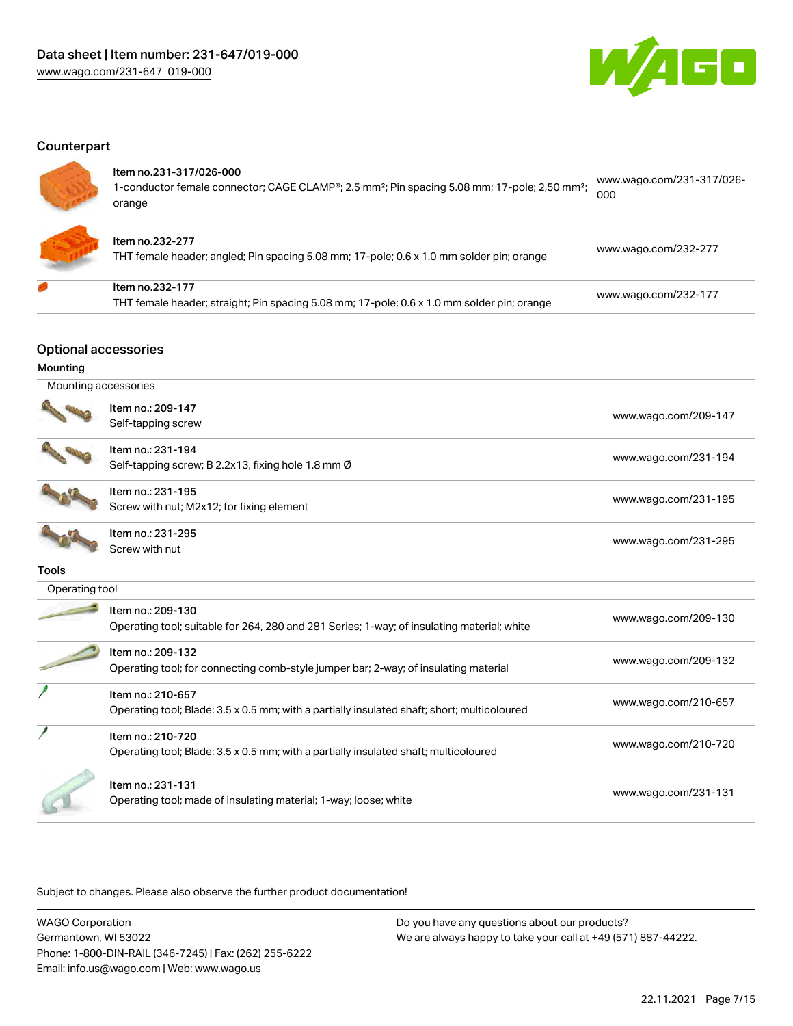

#### **Counterpart**

#### Item no.231-317/026-000

1-conductor female connector; CAGE CLAMP®; 2.5 mm<sup>2</sup>; Pin spacing 5.08 mm; 17-pole; 2,50 mm<sup>2</sup>; orange [www.wago.com/231-317/026-](https://www.wago.com/231-317/026-000) [000](https://www.wago.com/231-317/026-000)



#### Item no.232-277

THT female header; angled; Pin spacing 5.08 mm; 17-pole; 0.6 x 1.0 mm solder pin; orange [www.wago.com/232-277](https://www.wago.com/232-277)

| Item no.232-177 |  |  |
|-----------------|--|--|
| _____           |  |  |

THT female header; straight; Pin spacing 5.08 mm; 17-pole; 0.6 x 1.0 mm solder pin; orange [www.wago.com/232-177](https://www.wago.com/232-177)

## Optional accessories

#### Mounting

 Mounting accessories Item no.: 209-147 Self-tapping screw [www.wago.com/209-147](http://www.wago.com/209-147) Item no.: 231-194 Self-tapping screw; B 2.2x13, fixing hole 1.8 mm Ø [www.wago.com/231-194](http://www.wago.com/231-194) Item no.: 231-195 Screw with nut; M2x12; for fixing element [www.wago.com/231-195](http://www.wago.com/231-195) Item no.: 231-295 Norm is 201250<br>Screw with nut [www.wago.com/231-295](http://www.wago.com/231-295) Tools Operating tool Item no.: 209-130 Operating tool; suitable for 264, 280 and 281 Series; 1-way; of insulating material; white [www.wago.com/209-130](http://www.wago.com/209-130) Item no.: 209-132 Net the section of the section of the section of the section of the section of the section of the section of the<br>Operating tool; for connecting comb-style jumper bar; 2-way; of insulating material Item no.: 210-657 Operating tool; Blade: 3.5 x 0.5 mm; with a partially insulated shaft; short; multicoloured [www.wago.com/210-657](http://www.wago.com/210-657) Item no.: 210-720 Operating tool; Blade: 3.5 x 0.5 mm; with a partially insulated shaft; multicoloured [www.wago.com/210-720](http://www.wago.com/210-720) Item no.: 231-131 Networks: 2014.001<br>Operating tool; made of insulating material; 1-way; loose; white [www.wago.com/231-131](http://www.wago.com/231-131)

Subject to changes. Please also observe the further product documentation!

WAGO Corporation Germantown, WI 53022 Phone: 1-800-DIN-RAIL (346-7245) | Fax: (262) 255-6222 Email: info.us@wago.com | Web: www.wago.us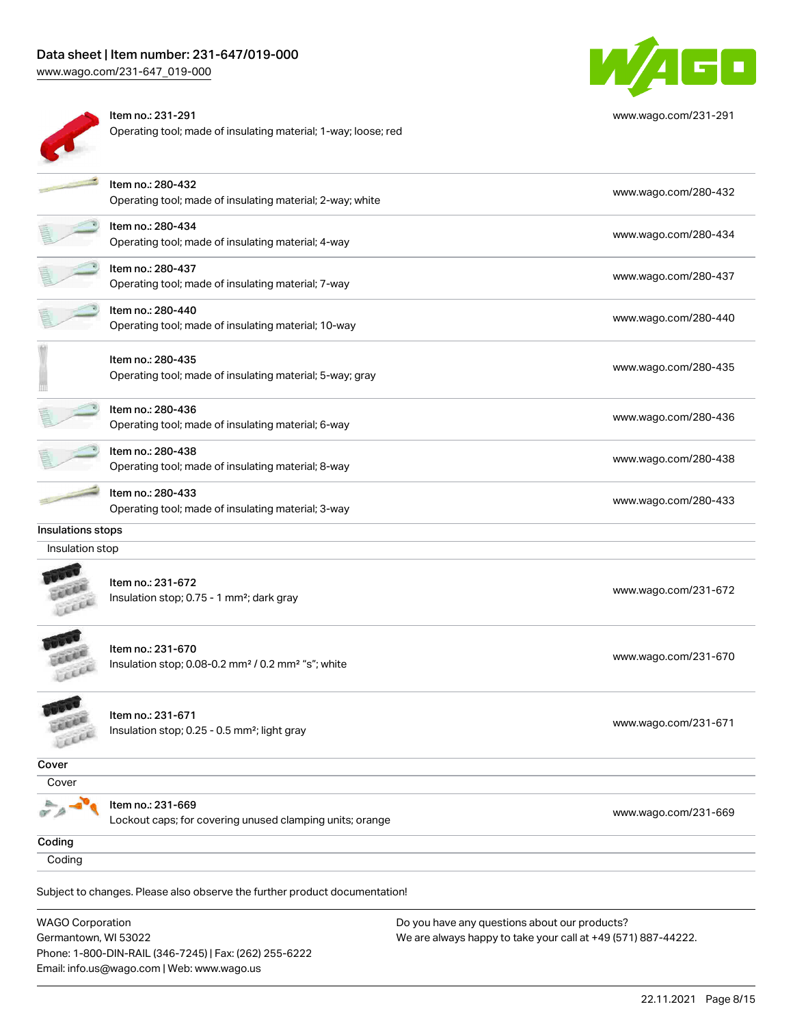# Data sheet | Item number: 231-647/019-000

[www.wago.com/231-647\\_019-000](http://www.wago.com/231-647_019-000)



Item no.: 231-291 Operating tool; made of insulating material; 1-way; loose; red



[www.wago.com/231-291](http://www.wago.com/231-291)

|                   | Item no.: 280-432                                                          | www.wago.com/280-432 |
|-------------------|----------------------------------------------------------------------------|----------------------|
|                   | Operating tool; made of insulating material; 2-way; white                  |                      |
|                   | Item no.: 280-434                                                          |                      |
|                   | Operating tool; made of insulating material; 4-way                         | www.wago.com/280-434 |
|                   | Item no.: 280-437                                                          | www.wago.com/280-437 |
|                   | Operating tool; made of insulating material; 7-way                         |                      |
|                   | Item no.: 280-440                                                          | www.wago.com/280-440 |
|                   | Operating tool; made of insulating material; 10-way                        |                      |
|                   | Item no.: 280-435                                                          |                      |
|                   | Operating tool; made of insulating material; 5-way; gray                   | www.wago.com/280-435 |
|                   | Item no.: 280-436                                                          | www.wago.com/280-436 |
|                   | Operating tool; made of insulating material; 6-way                         |                      |
|                   | Item no.: 280-438                                                          | www.wago.com/280-438 |
|                   | Operating tool; made of insulating material; 8-way                         |                      |
|                   | Item no.: 280-433                                                          | www.wago.com/280-433 |
|                   | Operating tool; made of insulating material; 3-way                         |                      |
| Insulations stops |                                                                            |                      |
| Insulation stop   |                                                                            |                      |
|                   |                                                                            |                      |
|                   | Item no.: 231-672                                                          | www.wago.com/231-672 |
|                   | Insulation stop; 0.75 - 1 mm <sup>2</sup> ; dark gray                      |                      |
|                   |                                                                            |                      |
|                   | Item no.: 231-670                                                          | www.wago.com/231-670 |
|                   | Insulation stop; 0.08-0.2 mm <sup>2</sup> / 0.2 mm <sup>2</sup> "s"; white |                      |
|                   |                                                                            |                      |
|                   | Item no.: 231-671                                                          | www.wago.com/231-671 |
| s                 | Insulation stop; 0.25 - 0.5 mm <sup>2</sup> ; light gray                   |                      |
| Cover             |                                                                            |                      |
| Cover             |                                                                            |                      |
|                   | Item no.: 231-669                                                          |                      |
|                   | Lockout caps; for covering unused clamping units; orange                   | www.wago.com/231-669 |
| Coding            |                                                                            |                      |
| Coding            |                                                                            |                      |
|                   | Subject to changes. Please also observe the further product documentation! |                      |
|                   |                                                                            |                      |

WAGO Corporation Germantown, WI 53022 Phone: 1-800-DIN-RAIL (346-7245) | Fax: (262) 255-6222 Email: info.us@wago.com | Web: www.wago.us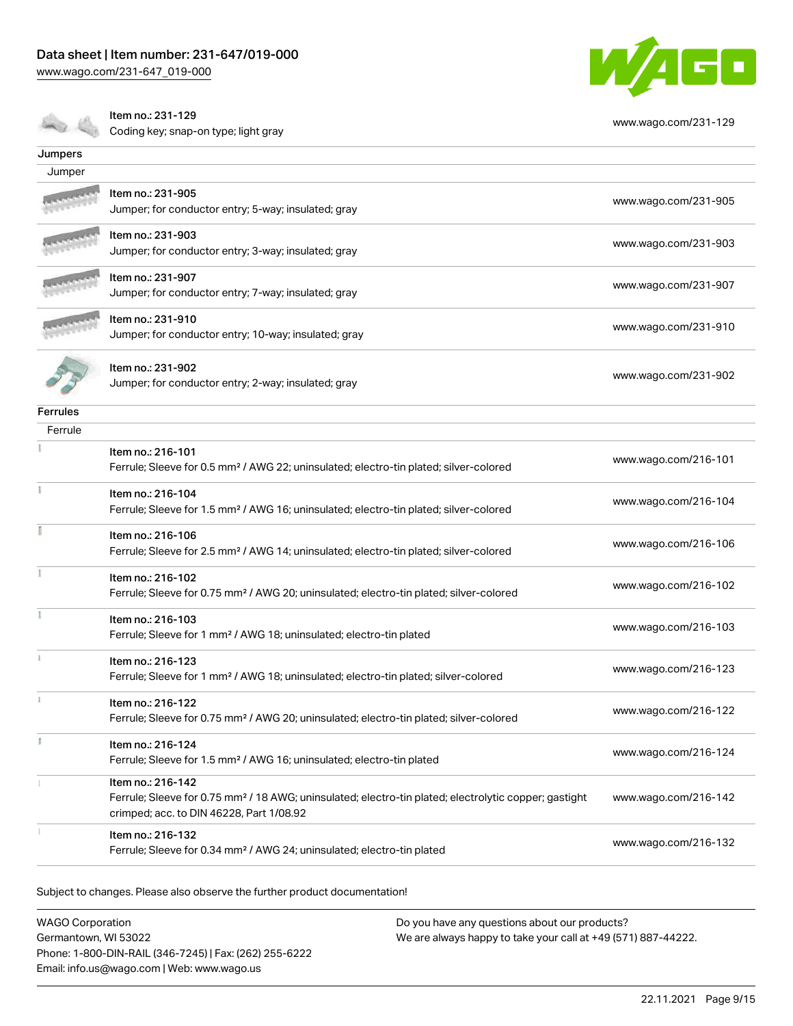[www.wago.com/231-647\\_019-000](http://www.wago.com/231-647_019-000)



Coding key; snap-on type; light gray



[www.wago.com/231-129](http://www.wago.com/231-129)

| Jumpers         |                                                                                                                                                                                    |                      |
|-----------------|------------------------------------------------------------------------------------------------------------------------------------------------------------------------------------|----------------------|
| Jumper          |                                                                                                                                                                                    |                      |
|                 | Item no.: 231-905<br>Jumper; for conductor entry; 5-way; insulated; gray                                                                                                           | www.wago.com/231-905 |
|                 | Item no.: 231-903<br>Jumper; for conductor entry; 3-way; insulated; gray                                                                                                           | www.wago.com/231-903 |
|                 | Item no.: 231-907<br>Jumper; for conductor entry; 7-way; insulated; gray                                                                                                           | www.wago.com/231-907 |
|                 | Item no.: 231-910<br>Jumper; for conductor entry; 10-way; insulated; gray                                                                                                          | www.wago.com/231-910 |
|                 | Item no.: 231-902<br>Jumper; for conductor entry; 2-way; insulated; gray                                                                                                           | www.wago.com/231-902 |
| <b>Ferrules</b> |                                                                                                                                                                                    |                      |
| Ferrule         |                                                                                                                                                                                    |                      |
|                 | Item no.: 216-101<br>Ferrule; Sleeve for 0.5 mm <sup>2</sup> / AWG 22; uninsulated; electro-tin plated; silver-colored                                                             | www.wago.com/216-101 |
|                 | Item no.: 216-104<br>Ferrule; Sleeve for 1.5 mm <sup>2</sup> / AWG 16; uninsulated; electro-tin plated; silver-colored                                                             | www.wago.com/216-104 |
|                 | Item no.: 216-106<br>Ferrule; Sleeve for 2.5 mm <sup>2</sup> / AWG 14; uninsulated; electro-tin plated; silver-colored                                                             | www.wago.com/216-106 |
|                 | Item no.: 216-102<br>Ferrule; Sleeve for 0.75 mm <sup>2</sup> / AWG 20; uninsulated; electro-tin plated; silver-colored                                                            | www.wago.com/216-102 |
|                 | Item no.: 216-103<br>Ferrule; Sleeve for 1 mm <sup>2</sup> / AWG 18; uninsulated; electro-tin plated                                                                               | www.wago.com/216-103 |
|                 | Item no.: 216-123<br>Ferrule; Sleeve for 1 mm <sup>2</sup> / AWG 18; uninsulated; electro-tin plated; silver-colored                                                               | www.wago.com/216-123 |
|                 | Item no.: 216-122<br>Ferrule; Sleeve for 0.75 mm <sup>2</sup> / AWG 20; uninsulated; electro-tin plated; silver-colored                                                            | www.wago.com/216-122 |
|                 | Item no.: 216-124<br>Ferrule; Sleeve for 1.5 mm <sup>2</sup> / AWG 16; uninsulated; electro-tin plated                                                                             | www.wago.com/216-124 |
|                 | Item no.: 216-142<br>Ferrule; Sleeve for 0.75 mm <sup>2</sup> / 18 AWG; uninsulated; electro-tin plated; electrolytic copper; gastight<br>crimped; acc. to DIN 46228, Part 1/08.92 | www.wago.com/216-142 |
|                 | Item no.: 216-132<br>Ferrule; Sleeve for 0.34 mm <sup>2</sup> / AWG 24; uninsulated; electro-tin plated                                                                            | www.wago.com/216-132 |

Subject to changes. Please also observe the further product documentation!

WAGO Corporation Germantown, WI 53022 Phone: 1-800-DIN-RAIL (346-7245) | Fax: (262) 255-6222 Email: info.us@wago.com | Web: www.wago.us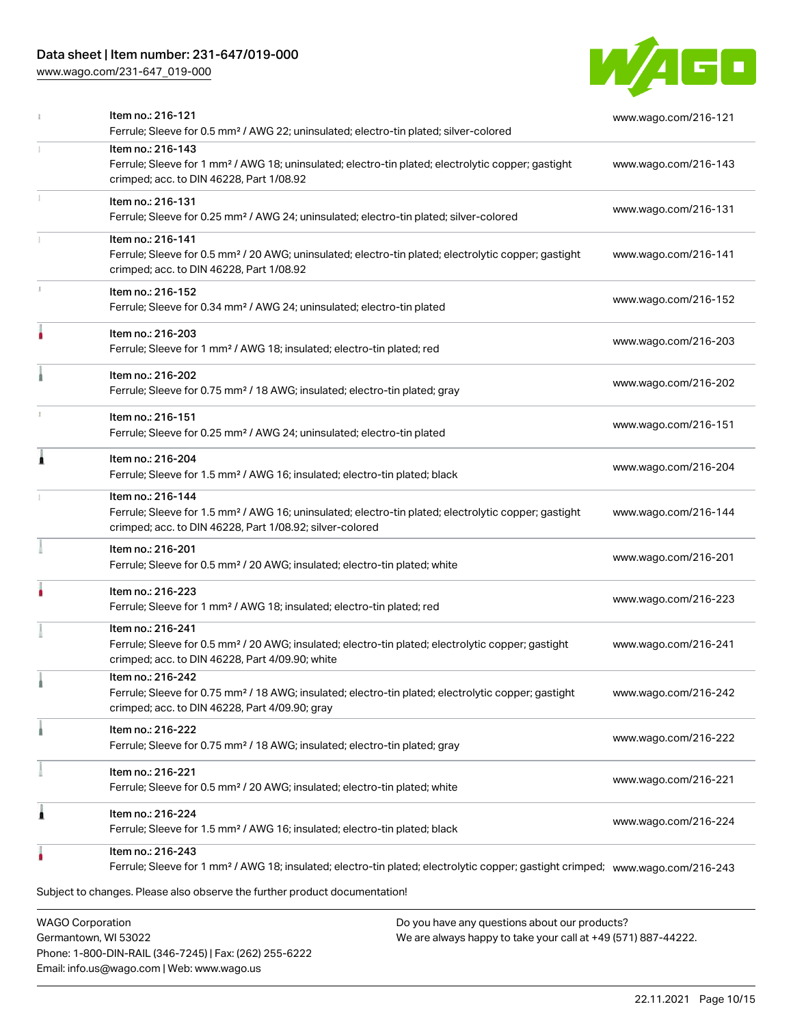# Data sheet | Item number: 231-647/019-000

[www.wago.com/231-647\\_019-000](http://www.wago.com/231-647_019-000)



|   | Item no.: 216-121<br>Ferrule; Sleeve for 0.5 mm <sup>2</sup> / AWG 22; uninsulated; electro-tin plated; silver-colored                                                                            | www.wago.com/216-121 |
|---|---------------------------------------------------------------------------------------------------------------------------------------------------------------------------------------------------|----------------------|
|   | Item no.: 216-143<br>Ferrule; Sleeve for 1 mm <sup>2</sup> / AWG 18; uninsulated; electro-tin plated; electrolytic copper; gastight<br>crimped; acc. to DIN 46228, Part 1/08.92                   | www.wago.com/216-143 |
|   | Item no.: 216-131<br>Ferrule; Sleeve for 0.25 mm <sup>2</sup> / AWG 24; uninsulated; electro-tin plated; silver-colored                                                                           | www.wago.com/216-131 |
|   | Item no.: 216-141<br>Ferrule; Sleeve for 0.5 mm <sup>2</sup> / 20 AWG; uninsulated; electro-tin plated; electrolytic copper; gastight<br>crimped; acc. to DIN 46228, Part 1/08.92                 | www.wago.com/216-141 |
|   | Item no.: 216-152<br>Ferrule; Sleeve for 0.34 mm <sup>2</sup> / AWG 24; uninsulated; electro-tin plated                                                                                           | www.wago.com/216-152 |
|   | Item no.: 216-203<br>Ferrule; Sleeve for 1 mm <sup>2</sup> / AWG 18; insulated; electro-tin plated; red                                                                                           | www.wago.com/216-203 |
|   | Item no.: 216-202<br>Ferrule; Sleeve for 0.75 mm <sup>2</sup> / 18 AWG; insulated; electro-tin plated; gray                                                                                       | www.wago.com/216-202 |
|   | Item no.: 216-151<br>Ferrule; Sleeve for 0.25 mm <sup>2</sup> / AWG 24; uninsulated; electro-tin plated                                                                                           | www.wago.com/216-151 |
| 1 | Item no.: 216-204<br>Ferrule; Sleeve for 1.5 mm <sup>2</sup> / AWG 16; insulated; electro-tin plated; black                                                                                       | www.wago.com/216-204 |
|   | Item no.: 216-144<br>Ferrule; Sleeve for 1.5 mm <sup>2</sup> / AWG 16; uninsulated; electro-tin plated; electrolytic copper; gastight<br>crimped; acc. to DIN 46228, Part 1/08.92; silver-colored | www.wago.com/216-144 |
|   | Item no.: 216-201<br>Ferrule; Sleeve for 0.5 mm <sup>2</sup> / 20 AWG; insulated; electro-tin plated; white                                                                                       | www.wago.com/216-201 |
|   | Item no.: 216-223<br>Ferrule; Sleeve for 1 mm <sup>2</sup> / AWG 18; insulated; electro-tin plated; red                                                                                           | www.wago.com/216-223 |
|   | Item no.: 216-241<br>Ferrule; Sleeve for 0.5 mm <sup>2</sup> / 20 AWG; insulated; electro-tin plated; electrolytic copper; gastight<br>crimped; acc. to DIN 46228, Part 4/09.90; white            | www.wago.com/216-241 |
|   | Item no.: 216-242<br>Ferrule; Sleeve for 0.75 mm <sup>2</sup> / 18 AWG; insulated; electro-tin plated; electrolytic copper; gastight<br>crimped; acc. to DIN 46228, Part 4/09.90; gray            | www.wago.com/216-242 |
|   | Item no.: 216-222<br>Ferrule; Sleeve for 0.75 mm <sup>2</sup> / 18 AWG; insulated; electro-tin plated; gray                                                                                       | www.wago.com/216-222 |
|   | Item no.: 216-221<br>Ferrule; Sleeve for 0.5 mm <sup>2</sup> / 20 AWG; insulated; electro-tin plated; white                                                                                       | www.wago.com/216-221 |
| ۸ | Item no.: 216-224<br>Ferrule; Sleeve for 1.5 mm <sup>2</sup> / AWG 16; insulated; electro-tin plated; black                                                                                       | www.wago.com/216-224 |
|   | Item no.: 216-243<br>Ferrule; Sleeve for 1 mm <sup>2</sup> / AWG 18; insulated; electro-tin plated; electrolytic copper; gastight crimped; www.waqo.com/216-243                                   |                      |
|   | Subject to changes. Please also observe the further product documentation!                                                                                                                        |                      |
|   | <b>WAGO Corporation</b><br>Do you have any questions about our products?                                                                                                                          |                      |

Germantown, WI 53022 Phone: 1-800-DIN-RAIL (346-7245) | Fax: (262) 255-6222 Email: info.us@wago.com | Web: www.wago.us

We are always happy to take your call at +49 (571) 887-44222.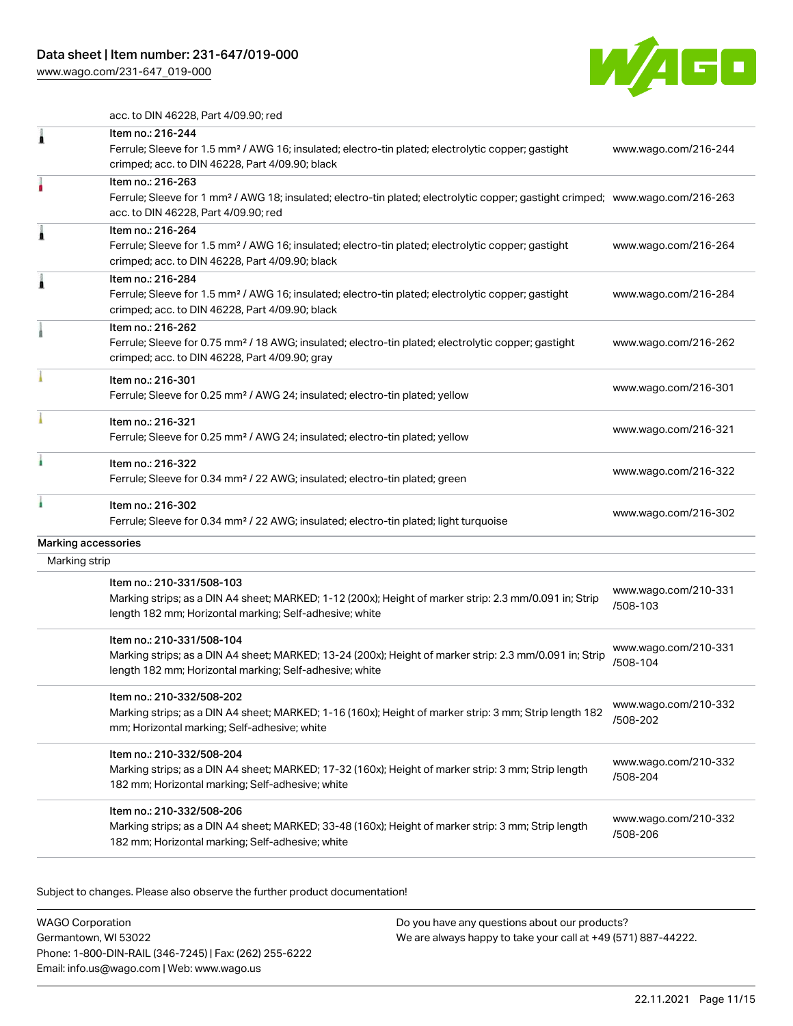[www.wago.com/231-647\\_019-000](http://www.wago.com/231-647_019-000)



acc. to DIN 46228, Part 4/09.90; red

| 1             | Item no.: 216-244<br>Ferrule; Sleeve for 1.5 mm <sup>2</sup> / AWG 16; insulated; electro-tin plated; electrolytic copper; gastight<br>crimped; acc. to DIN 46228, Part 4/09.90; black                  | www.wago.com/216-244             |
|---------------|---------------------------------------------------------------------------------------------------------------------------------------------------------------------------------------------------------|----------------------------------|
|               | Item no.: 216-263<br>Ferrule; Sleeve for 1 mm <sup>2</sup> / AWG 18; insulated; electro-tin plated; electrolytic copper; gastight crimped; www.wago.com/216-263<br>acc. to DIN 46228, Part 4/09.90; red |                                  |
| Â             | Item no.: 216-264<br>Ferrule; Sleeve for 1.5 mm <sup>2</sup> / AWG 16; insulated; electro-tin plated; electrolytic copper; gastight<br>crimped; acc. to DIN 46228, Part 4/09.90; black                  | www.wago.com/216-264             |
| Â             | Item no.: 216-284<br>Ferrule; Sleeve for 1.5 mm <sup>2</sup> / AWG 16; insulated; electro-tin plated; electrolytic copper; gastight<br>crimped; acc. to DIN 46228, Part 4/09.90; black                  | www.wago.com/216-284             |
|               | Item no.: 216-262<br>Ferrule; Sleeve for 0.75 mm <sup>2</sup> / 18 AWG; insulated; electro-tin plated; electrolytic copper; gastight<br>crimped; acc. to DIN 46228, Part 4/09.90; gray                  | www.wago.com/216-262             |
|               | Item no.: 216-301<br>Ferrule; Sleeve for 0.25 mm <sup>2</sup> / AWG 24; insulated; electro-tin plated; yellow                                                                                           | www.wago.com/216-301             |
|               | Item no.: 216-321<br>Ferrule; Sleeve for 0.25 mm <sup>2</sup> / AWG 24; insulated; electro-tin plated; yellow                                                                                           | www.wago.com/216-321             |
|               | Item no.: 216-322<br>Ferrule; Sleeve for 0.34 mm <sup>2</sup> / 22 AWG; insulated; electro-tin plated; green                                                                                            | www.wago.com/216-322             |
|               | Item no.: 216-302<br>Ferrule; Sleeve for 0.34 mm <sup>2</sup> / 22 AWG; insulated; electro-tin plated; light turquoise                                                                                  | www.wago.com/216-302             |
|               | Marking accessories                                                                                                                                                                                     |                                  |
| Marking strip |                                                                                                                                                                                                         |                                  |
|               | Item no.: 210-331/508-103<br>Marking strips; as a DIN A4 sheet; MARKED; 1-12 (200x); Height of marker strip: 2.3 mm/0.091 in; Strip<br>length 182 mm; Horizontal marking; Self-adhesive; white          | www.wago.com/210-331<br>/508-103 |
|               | Item no.: 210-331/508-104<br>Marking strips; as a DIN A4 sheet; MARKED; 13-24 (200x); Height of marker strip: 2.3 mm/0.091 in; Strip<br>length 182 mm; Horizontal marking; Self-adhesive; white         | www.wago.com/210-331<br>/508-104 |
|               | Item no.: 210-332/508-202<br>Marking strips; as a DIN A4 sheet; MARKED; 1-16 (160x); Height of marker strip: 3 mm; Strip length 182<br>mm; Horizontal marking; Self-adhesive; white                     | www.wago.com/210-332<br>/508-202 |
|               | Item no.: 210-332/508-204<br>Marking strips; as a DIN A4 sheet; MARKED; 17-32 (160x); Height of marker strip: 3 mm; Strip length<br>182 mm; Horizontal marking; Self-adhesive; white                    | www.wago.com/210-332<br>/508-204 |
|               | Item no.: 210-332/508-206<br>Marking strips; as a DIN A4 sheet; MARKED; 33-48 (160x); Height of marker strip: 3 mm; Strip length<br>182 mm; Horizontal marking; Self-adhesive; white                    | www.wago.com/210-332<br>/508-206 |
|               |                                                                                                                                                                                                         |                                  |

Subject to changes. Please also observe the further product documentation!

WAGO Corporation Germantown, WI 53022 Phone: 1-800-DIN-RAIL (346-7245) | Fax: (262) 255-6222 Email: info.us@wago.com | Web: www.wago.us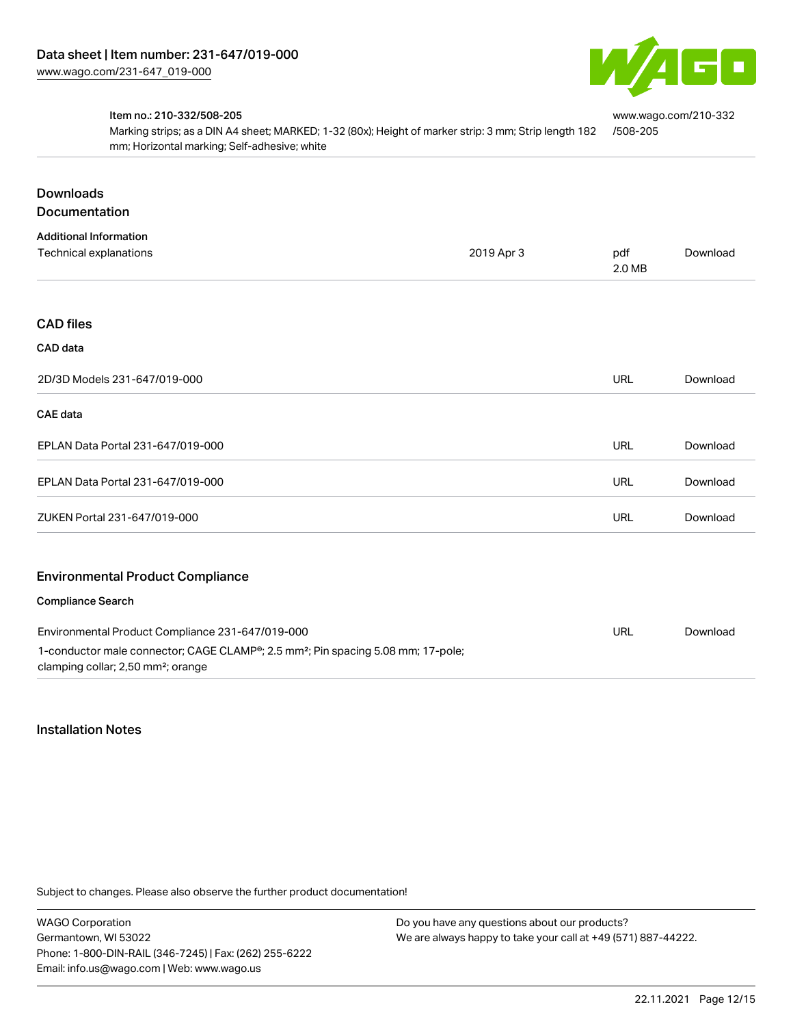

[www.wago.com/210-332](http://www.wago.com/210-332/508-205)

#### Item no.: 210-332/508-205

Marking strips; as a DIN A4 sheet; MARKED; 1-32 (80x); Height of marker strip: 3 mm; Strip length 182 mm; Horizontal marking; Self-adhesive; white [/508-205](http://www.wago.com/210-332/508-205)

| <b>Downloads</b><br><b>Documentation</b>                                                                                                                                                           |            |               |          |
|----------------------------------------------------------------------------------------------------------------------------------------------------------------------------------------------------|------------|---------------|----------|
| <b>Additional Information</b><br>Technical explanations                                                                                                                                            | 2019 Apr 3 | pdf<br>2.0 MB | Download |
| <b>CAD files</b>                                                                                                                                                                                   |            |               |          |
| CAD data                                                                                                                                                                                           |            |               |          |
| 2D/3D Models 231-647/019-000                                                                                                                                                                       |            | URL           | Download |
| <b>CAE</b> data                                                                                                                                                                                    |            |               |          |
| EPLAN Data Portal 231-647/019-000                                                                                                                                                                  |            | URL           | Download |
| EPLAN Data Portal 231-647/019-000                                                                                                                                                                  |            | <b>URL</b>    | Download |
| ZUKEN Portal 231-647/019-000                                                                                                                                                                       |            | <b>URL</b>    | Download |
| <b>Environmental Product Compliance</b><br><b>Compliance Search</b>                                                                                                                                |            |               |          |
|                                                                                                                                                                                                    |            |               |          |
| Environmental Product Compliance 231-647/019-000<br>1-conductor male connector; CAGE CLAMP®; 2.5 mm <sup>2</sup> ; Pin spacing 5.08 mm; 17-pole;<br>clamping collar; 2,50 mm <sup>2</sup> ; orange |            | <b>URL</b>    | Download |

## Installation Notes

Subject to changes. Please also observe the further product documentation!

WAGO Corporation Germantown, WI 53022 Phone: 1-800-DIN-RAIL (346-7245) | Fax: (262) 255-6222 Email: info.us@wago.com | Web: www.wago.us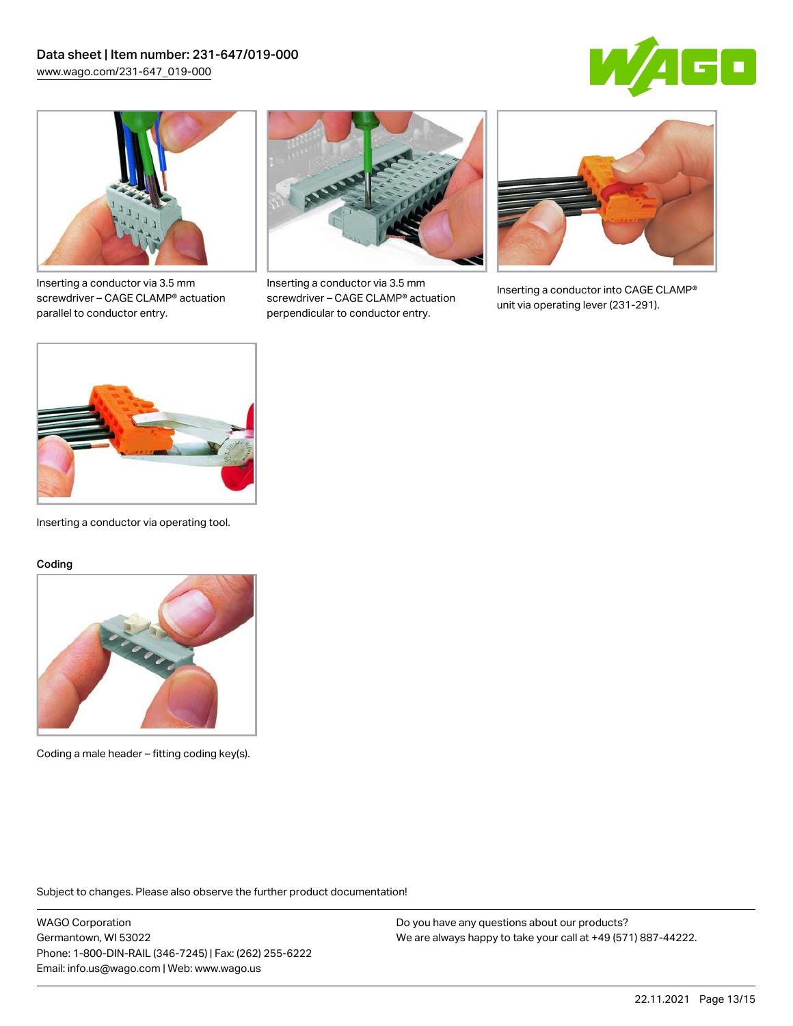



Inserting a conductor via 3.5 mm screwdriver – CAGE CLAMP® actuation parallel to conductor entry.



Inserting a conductor via 3.5 mm screwdriver – CAGE CLAMP® actuation perpendicular to conductor entry.



Inserting a conductor into CAGE CLAMP® unit via operating lever (231-291).



Inserting a conductor via operating tool.

#### Coding



Coding a male header – fitting coding key(s).

Subject to changes. Please also observe the further product documentation!

WAGO Corporation Germantown, WI 53022 Phone: 1-800-DIN-RAIL (346-7245) | Fax: (262) 255-6222 Email: info.us@wago.com | Web: www.wago.us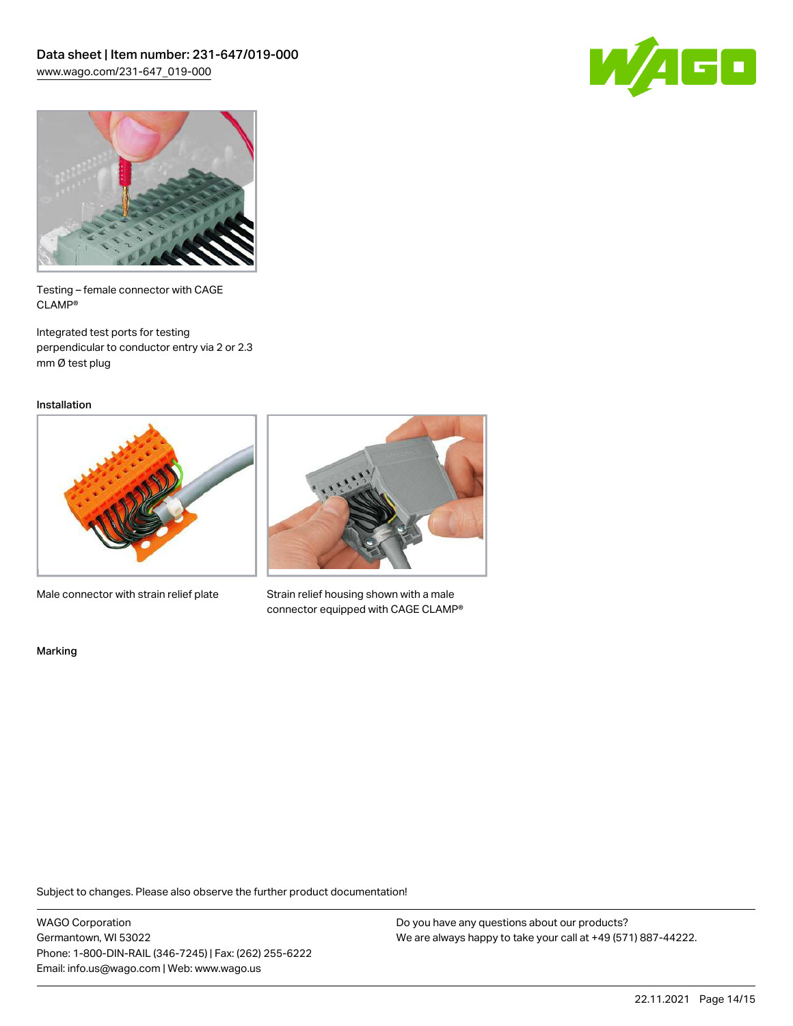



Testing – female connector with CAGE CLAMP®

Integrated test ports for testing perpendicular to conductor entry via 2 or 2.3 mm Ø test plug

Installation



Male connector with strain relief plate



Strain relief housing shown with a male connector equipped with CAGE CLAMP®

Marking

Subject to changes. Please also observe the further product documentation!

WAGO Corporation Germantown, WI 53022 Phone: 1-800-DIN-RAIL (346-7245) | Fax: (262) 255-6222 Email: info.us@wago.com | Web: www.wago.us